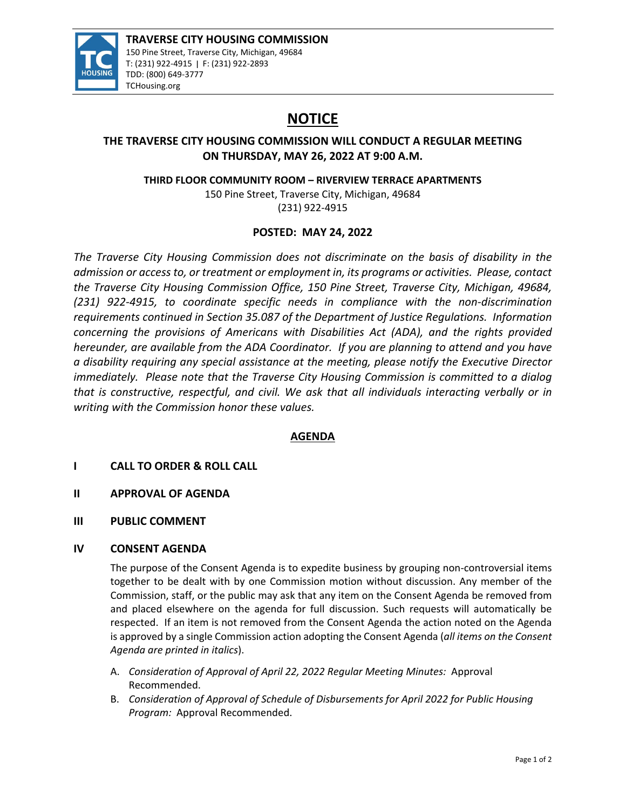

# **NOTICE**

## **THE TRAVERSE CITY HOUSING COMMISSION WILL CONDUCT A REGULAR MEETING ON THURSDAY, MAY 26, 2022 AT 9:00 A.M.**

**THIRD FLOOR COMMUNITY ROOM – RIVERVIEW TERRACE APARTMENTS**

150 Pine Street, Traverse City, Michigan, 49684 (231) 922‐4915

## **POSTED: MAY 24, 2022**

*The Traverse City Housing Commission does not discriminate on the basis of disability in the admission or access to, or treatment or employment in, its programs or activities. Please, contact the Traverse City Housing Commission Office, 150 Pine Street, Traverse City, Michigan, 49684, (231) 922‐4915, to coordinate specific needs in compliance with the non‐discrimination requirements continued in Section 35.087 of the Department of Justice Regulations. Information concerning the provisions of Americans with Disabilities Act (ADA), and the rights provided hereunder, are available from the ADA Coordinator. If you are planning to attend and you have a disability requiring any special assistance at the meeting, please notify the Executive Director immediately. Please note that the Traverse City Housing Commission is committed to a dialog that is constructive, respectful, and civil. We ask that all individuals interacting verbally or in writing with the Commission honor these values.*

## **AGENDA**

## **I CALL TO ORDER & ROLL CALL**

- **II APPROVAL OF AGENDA**
- **III PUBLIC COMMENT**

#### **IV CONSENT AGENDA**

The purpose of the Consent Agenda is to expedite business by grouping non-controversial items together to be dealt with by one Commission motion without discussion. Any member of the Commission, staff, or the public may ask that any item on the Consent Agenda be removed from and placed elsewhere on the agenda for full discussion. Such requests will automatically be respected. If an item is not removed from the Consent Agenda the action noted on the Agenda is approved by a single Commission action adopting the Consent Agenda (*all items on the Consent Agenda are printed in italics*).

- A. *Consideration of Approval of April 22, 2022 Regular Meeting Minutes:* Approval Recommended.
- B. *Consideration of Approval of Schedule of Disbursements for April 2022 for Public Housing Program:* Approval Recommended.